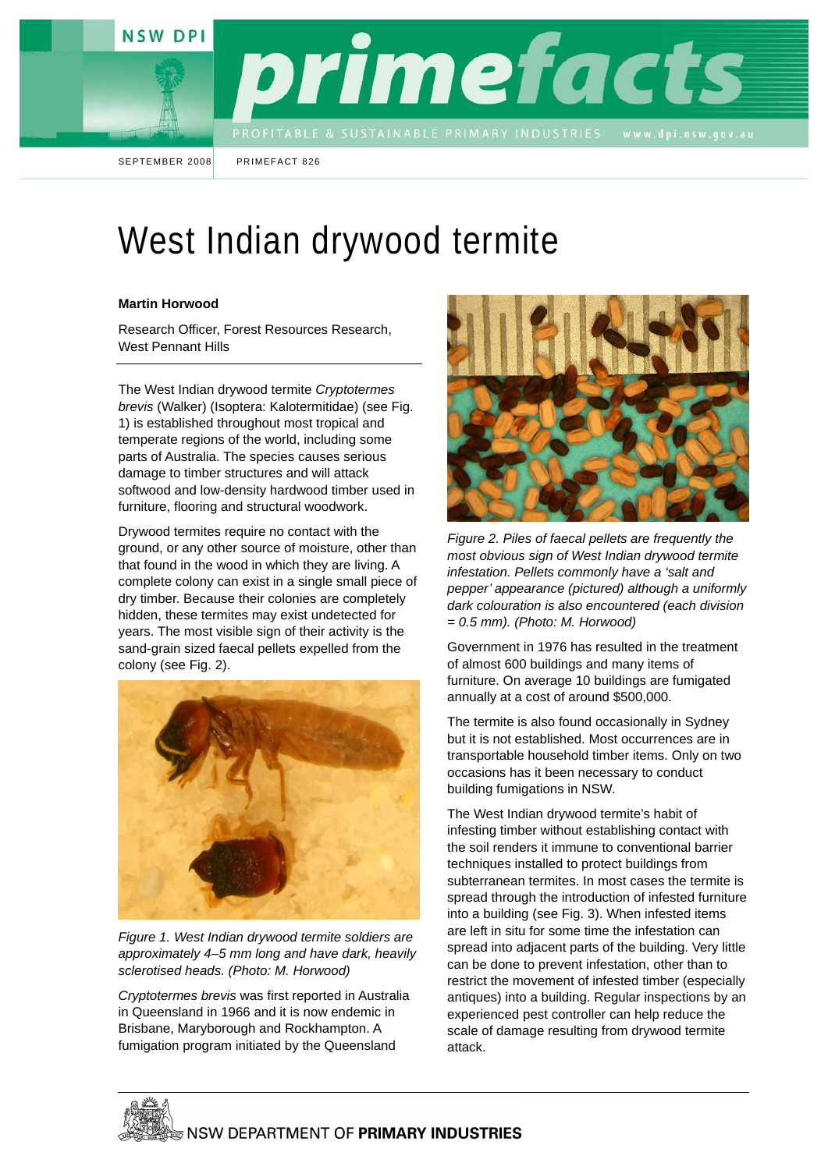



SEPTEMBER 2008 PRIMEFACT 826

## West Indian drywood termite

## **Martin Horwood**

Research Officer, Forest Resources Research, West Pennant Hills

The West Indian drywood termite *Cryptotermes brevis* (Walker) (Isoptera: Kalotermitidae) (see Fig. 1) is established throughout most tropical and temperate regions of the world, including some parts of Australia. The species causes serious damage to timber structures and will attack softwood and low-density hardwood timber used in furniture, flooring and structural woodwork.

Drywood termites require no contact with the ground, or any other source of moisture, other than that found in the wood in which they are living. A complete colony can exist in a single small piece of dry timber. Because their colonies are completely hidden, these termites may exist undetected for years. The most visible sign of their activity is the sand-grain sized faecal pellets expelled from the colony (see Fig. 2).



*Figure 1. West Indian drywood termite soldiers are approximately 4–5 mm long and have dark, heavily sclerotised heads. (Photo: M. Horwood)* 

*Cryptotermes brevis* was first reported in Australia in Queensland in 1966 and it is now endemic in Brisbane, Maryborough and Rockhampton. A fumigation program initiated by the Queensland



*Figure 2. Piles of faecal pellets are frequently the most obvious sign of West Indian drywood termite infestation. Pellets commonly have a 'salt and pepper' appearance (pictured) although a uniformly dark colouration is also encountered (each division = 0.5 mm). (Photo: M. Horwood)*

Government in 1976 has resulted in the treatment of almost 600 buildings and many items of furniture. On average 10 buildings are fumigated annually at a cost of around \$500,000.

The termite is also found occasionally in Sydney but it is not established. Most occurrences are in transportable household timber items. Only on two occasions has it been necessary to conduct building fumigations in NSW.

The West Indian drywood termite's habit of infesting timber without establishing contact with the soil renders it immune to conventional barrier techniques installed to protect buildings from subterranean termites. In most cases the termite is spread through the introduction of infested furniture into a building (see Fig. 3). When infested items are left in situ for some time the infestation can spread into adjacent parts of the building. Very little can be done to prevent infestation, other than to restrict the movement of infested timber (especially antiques) into a building. Regular inspections by an experienced pest controller can help reduce the scale of damage resulting from drywood termite attack.

**<b>INSW DEPARTMENT OF PRIMARY INDUSTRIES**